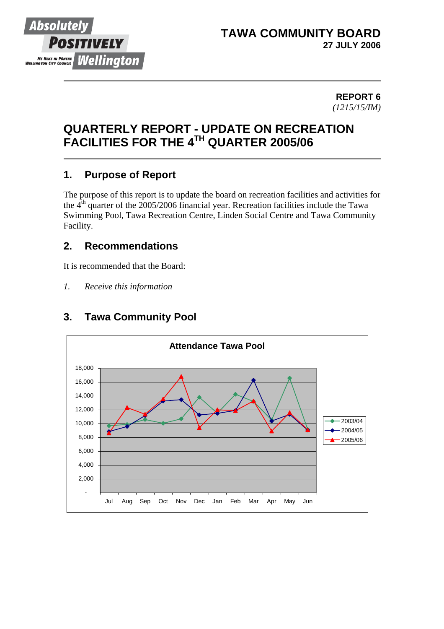

## **TAWA COMMUNITY BOARD 27 JULY 2006**

#### **REPORT 6** *(1215/15/IM)*

# **QUARTERLY REPORT - UPDATE ON RECREATION FACILITIES FOR THE 4TH QUARTER 2005/06**

# **1. Purpose of Report**

The purpose of this report is to update the board on recreation facilities and activities for the  $4<sup>th</sup>$  quarter of the 2005/2006 financial year. Recreation facilities include the Tawa Swimming Pool, Tawa Recreation Centre, Linden Social Centre and Tawa Community Facility.

# **2. Recommendations**

It is recommended that the Board:

*1. Receive this information*



# **3. Tawa Community Pool**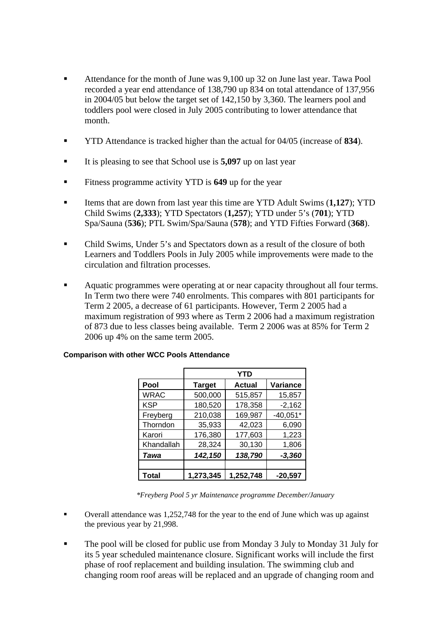- Attendance for the month of June was 9,100 up 32 on June last year. Tawa Pool recorded a year end attendance of 138,790 up 834 on total attendance of 137,956 in 2004/05 but below the target set of 142,150 by 3,360. The learners pool and toddlers pool were closed in July 2005 contributing to lower attendance that month.
- YTD Attendance is tracked higher than the actual for 04/05 (increase of **834**).
- It is pleasing to see that School use is **5,097** up on last year
- Fitness programme activity YTD is **649** up for the year
- Items that are down from last year this time are YTD Adult Swims (**1,127**); YTD Child Swims (**2,333**); YTD Spectators (**1,257**); YTD under 5's (**701**); YTD Spa/Sauna (**536**); PTL Swim/Spa/Sauna (**578**); and YTD Fifties Forward (**368**).
- Child Swims, Under 5's and Spectators down as a result of the closure of both Learners and Toddlers Pools in July 2005 while improvements were made to the circulation and filtration processes.
- Aquatic programmes were operating at or near capacity throughout all four terms. In Term two there were 740 enrolments. This compares with 801 participants for Term 2 2005, a decrease of 61 participants. However, Term 2 2005 had a maximum registration of 993 where as Term 2 2006 had a maximum registration of 873 due to less classes being available. Term 2 2006 was at 85% for Term 2 2006 up 4% on the same term 2005.

|             | <b>YTD</b>    |               |            |  |  |  |  |  |  |  |
|-------------|---------------|---------------|------------|--|--|--|--|--|--|--|
| Pool        | <b>Target</b> | <b>Actual</b> | Variance   |  |  |  |  |  |  |  |
| <b>WRAC</b> | 500,000       | 515,857       | 15,857     |  |  |  |  |  |  |  |
| <b>KSP</b>  | 180,520       | 178,358       | $-2,162$   |  |  |  |  |  |  |  |
| Freyberg    | 210,038       | 169,987       | $-40,051*$ |  |  |  |  |  |  |  |
| Thorndon    | 35,933        | 42,023        | 6,090      |  |  |  |  |  |  |  |
| Karori      | 176,380       | 177,603       | 1,223      |  |  |  |  |  |  |  |
| Khandallah  | 28,324        | 30,130        | 1,806      |  |  |  |  |  |  |  |
| Tawa        | 142,150       | 138,790       | $-3,360$   |  |  |  |  |  |  |  |
|             |               |               |            |  |  |  |  |  |  |  |
| Total       | 1,273,345     | 1,252,748     | -20.597    |  |  |  |  |  |  |  |

#### **Comparison with other WCC Pools Attendance**

*\*Freyberg Pool 5 yr Maintenance programme December/January* 

- Overall attendance was 1,252,748 for the year to the end of June which was up against the previous year by 21,998.
- The pool will be closed for public use from Monday 3 July to Monday 31 July for its 5 year scheduled maintenance closure. Significant works will include the first phase of roof replacement and building insulation. The swimming club and changing room roof areas will be replaced and an upgrade of changing room and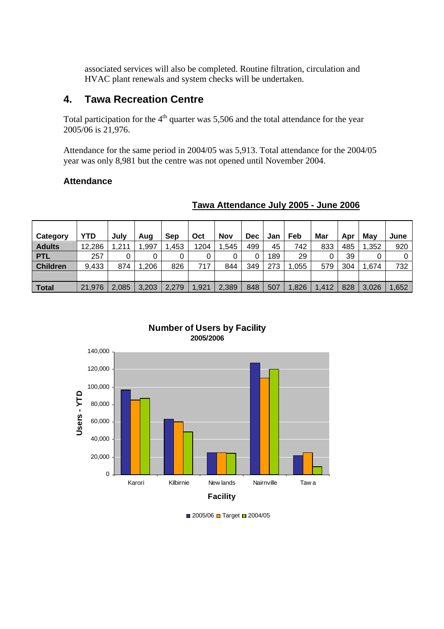associated services will also be completed. Routine filtration, circulation and HVAC plant renewals and system checks will be undertaken.

## **4. Tawa Recreation Centre**

Total participation for the  $4<sup>th</sup>$  quarter was 5,506 and the total attendance for the year 2005/06 is 21,976.

Attendance for the same period in 2004/05 was 5,913. Total attendance for the 2004/05 year was only 8,981 but the centre was not opened until November 2004.

#### **Attendance**

| Category        | YTD    | July  | Aug   | Sep   | Oct   | <b>Nov</b> | <b>Dec</b> | Jan | Feb   | Mar   | Apr | Mav   | June  |
|-----------------|--------|-------|-------|-------|-------|------------|------------|-----|-------|-------|-----|-------|-------|
| <b>Adults</b>   | 12,286 | ,211  | ,997  | ,453  | 1204  | .545       | 499        | 45  | 742   | 833   | 485 | 1,352 | 920   |
| <b>PTL</b>      | 257    | 0     | 0     |       | 0     |            | 0          | 189 | 29    |       | 39  | 0     |       |
| <b>Children</b> | 9,433  | 874   | ,206  | 826   | 717   | 844        | 349        | 273 | ,055  | 579   | 304 | 1,674 | 732   |
|                 |        |       |       |       |       |            |            |     |       |       |     |       |       |
| <b>Total</b>    | 21,976 | 2,085 | 3,203 | 2,279 | 1,921 | 2,389      | 848        | 507 | 1,826 | 1,412 | 828 | 3,026 | 1,652 |

### **Tawa Attendance July 2005 - June 2006**





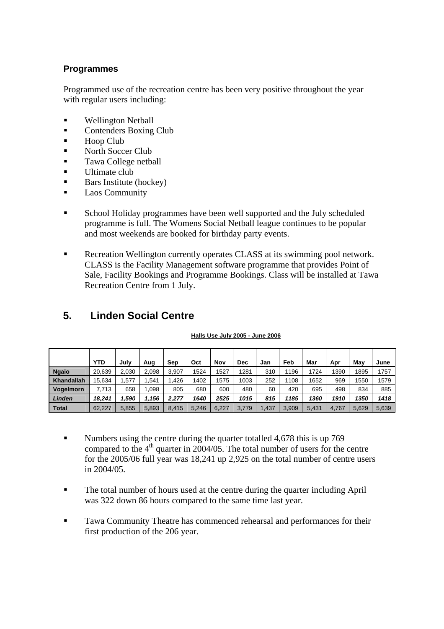### **Programmes**

Programmed use of the recreation centre has been very positive throughout the year with regular users including:

- **Wellington Netball**
- **Contenders Boxing Club**
- Hoop Club
- North Soccer Club
- Tawa College netball
- Ultimate club
- $\blacksquare$  Bars Institute (hockey)
- **Laos Community**
- School Holiday programmes have been well supported and the July scheduled programme is full. The Womens Social Netball league continues to be popular and most weekends are booked for birthday party events.
- Recreation Wellington currently operates CLASS at its swimming pool network. CLASS is the Facility Management software programme that provides Point of Sale, Facility Bookings and Programme Bookings. Class will be installed at Tawa Recreation Centre from 1 July.

|                  | YTD    | July  | Aug   | Sep   | Oct   | Nov   | Dec   | Jan   | Feb   | Mar   | Apr   | May   | June  |
|------------------|--------|-------|-------|-------|-------|-------|-------|-------|-------|-------|-------|-------|-------|
| <b>Ngaio</b>     | 20,639 | 2.030 | 2.098 | 3,907 | 1524  | 1527  | 1281  | 310   | 1196  | 1724  | 1390  | 1895  | 1757  |
| Khandallah       | 15,634 | .577  | .541  | .426  | 1402  | 1575  | 1003  | 252   | 1108  | 1652  | 969   | 1550  | 1579  |
| <b>Vogelmorn</b> | 7.713  | 658   | .098  | 805   | 680   | 600   | 480   | 60    | 420   | 695   | 498   | 834   | 885   |
| Linden           | 18,241 | 1.590 | 1,156 | 2.277 | 1640  | 2525  | 1015  | 815   | 1185  | 1360  | 1910  | 1350  | 1418  |
| <b>Total</b>     | 62.227 | 5.855 | 5.893 | 8.415 | 5.246 | 6.227 | 3.779 | 1.437 | 3.909 | 5.431 | 4.767 | 5,629 | 5,639 |

# **5. Linden Social Centre**

#### **Halls Use July 2005 - June 2006**

- Numbers using the centre during the quarter totalled 4,678 this is up 769 compared to the  $4<sup>th</sup>$  quarter in 2004/05. The total number of users for the centre for the 2005/06 full year was 18,241 up 2,925 on the total number of centre users in 2004/05.
- The total number of hours used at the centre during the quarter including April was 322 down 86 hours compared to the same time last year.
- **Tawa Community Theatre has commenced rehearsal and performances for their** first production of the 206 year.